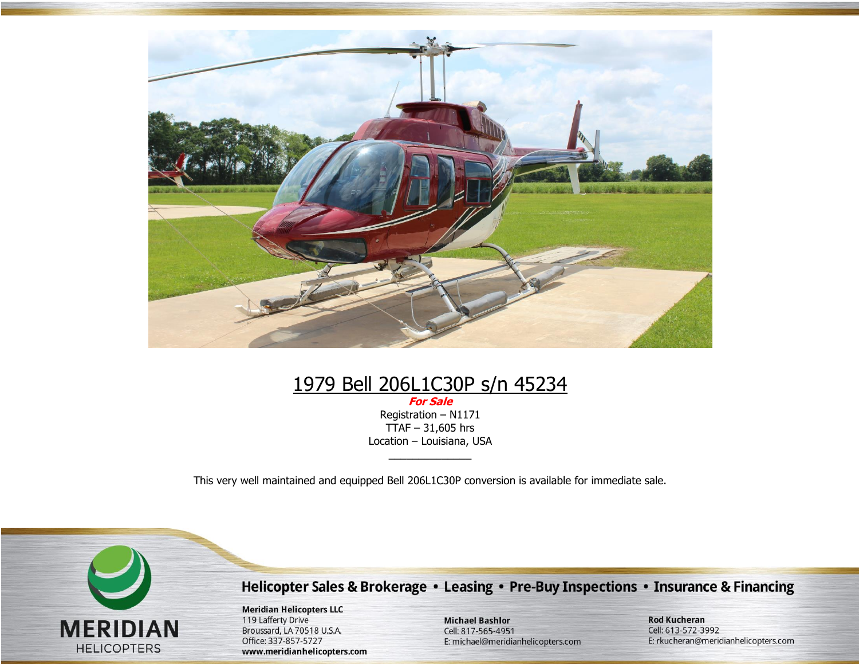

# 1979 Bell 206L1C30P s/n 45234

**For Sale** Registration – N1171  $TTAF - 31,605$  hrs Location – Louisiana, USA

This very well maintained and equipped Bell 206L1C30P conversion is available for immediate sale.

 $\overline{\phantom{a}}$  , where  $\overline{\phantom{a}}$ 



Helicopter Sales & Brokerage • Leasing • Pre-Buy Inspections • Insurance & Financing

**Meridian Helicopters LLC** 119 Lafferty Drive Broussard, LA 70518 U.S.A. Office: 337-857-5727 www.meridianhelicopters.com

**Michael Bashlor** Cell: 817-565-4951 E: michael@meridianhelicopters.com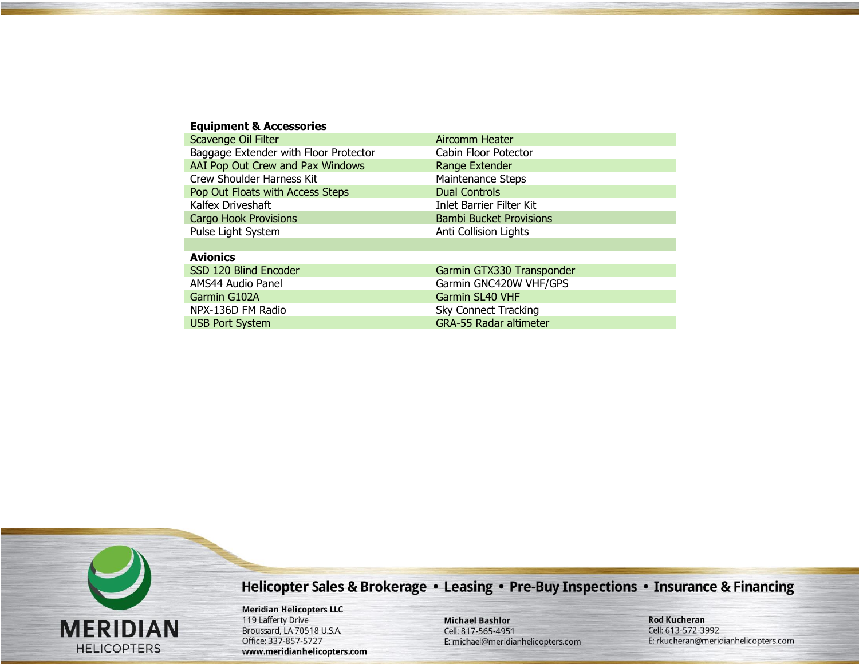| <b>Equipment &amp; Accessories</b>    |                                |
|---------------------------------------|--------------------------------|
| Scavenge Oil Filter                   | Aircomm Heater                 |
| Baggage Extender with Floor Protector | Cabin Floor Potector           |
| AAI Pop Out Crew and Pax Windows      | Range Extender                 |
| <b>Crew Shoulder Harness Kit</b>      | <b>Maintenance Steps</b>       |
| Pop Out Floats with Access Steps      | <b>Dual Controls</b>           |
| Kalfex Driveshaft                     | Inlet Barrier Filter Kit       |
| <b>Cargo Hook Provisions</b>          | <b>Bambi Bucket Provisions</b> |
| Pulse Light System                    | Anti Collision Lights          |
|                                       |                                |
| <b>Avionics</b>                       |                                |
| SSD 120 Blind Encoder                 | Garmin GTX330 Transponder      |
| AMS44 Audio Panel                     | Garmin GNC420W VHF/GPS         |
| Garmin G102A                          | Garmin SL40 VHF                |
| NPX-136D FM Radio                     | <b>Sky Connect Tracking</b>    |
| <b>USB Port System</b>                | <b>GRA-55 Radar altimeter</b>  |
|                                       |                                |



**Meridian Helicopters LLC** 119 Lafferty Drive Broussard, LA 70518 U.S.A. Office: 337-857-5727 www.meridianhelicopters.com

**Michael Bashlor** Cell: 817-565-4951 E: michael@meridianhelicopters.com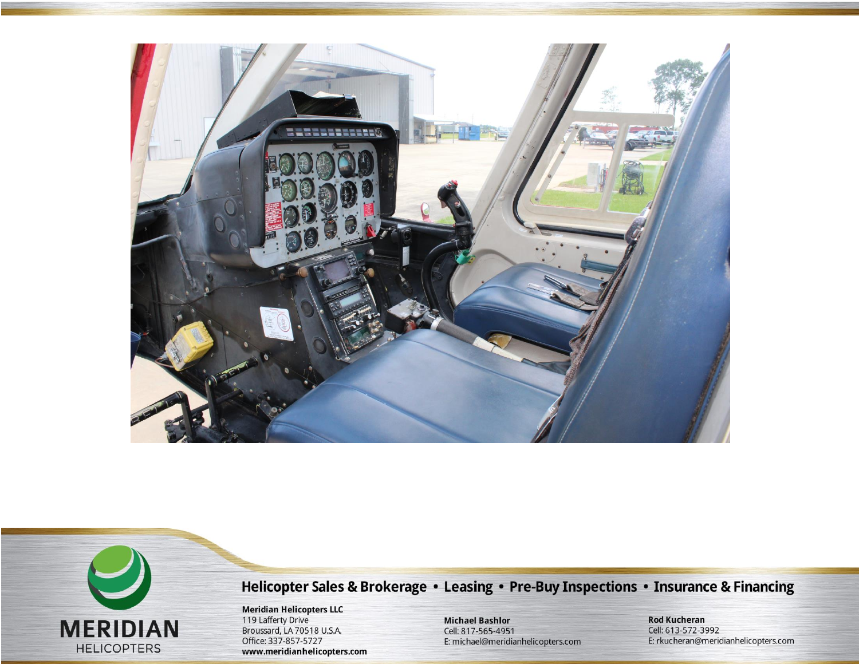



**Meridian Helicopters LLC**<br>119 Lafferty Drive Broussard, LA 70518 U.S.A. Office: 337-857-5727 www.meridianhelicopters.com

**Michael Bashlor** Cell: 817-565-4951 E: michael@meridianhelicopters.com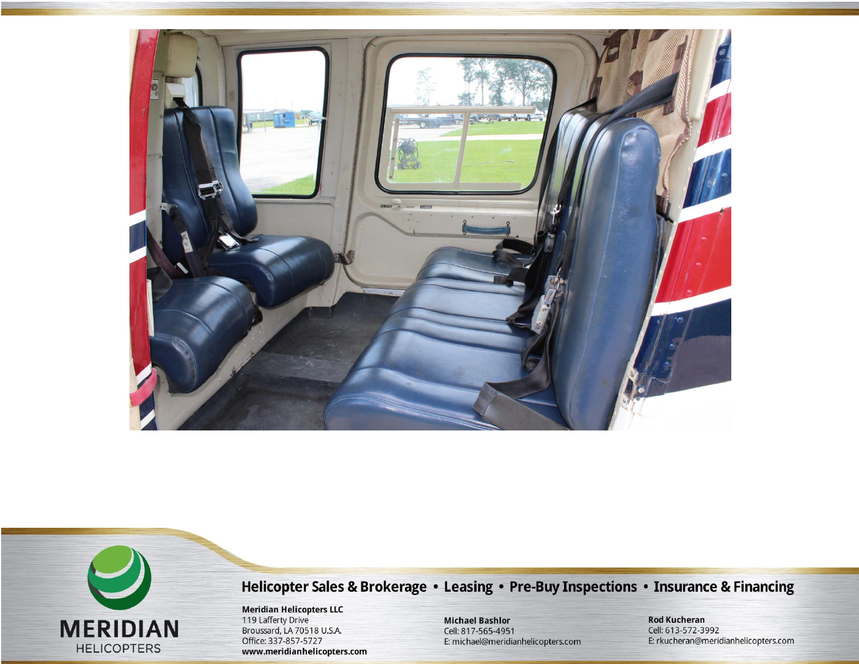



**Meridian Helicopters LLC**<br>119 Lafferty Drive Broussard, LA 70518 U.S.A. Office: 337-857-5727 www.meridianhelicopters.com

**Michael Bashlor** Cell: 817-565-4951 E: michael@meridianhelicopters.com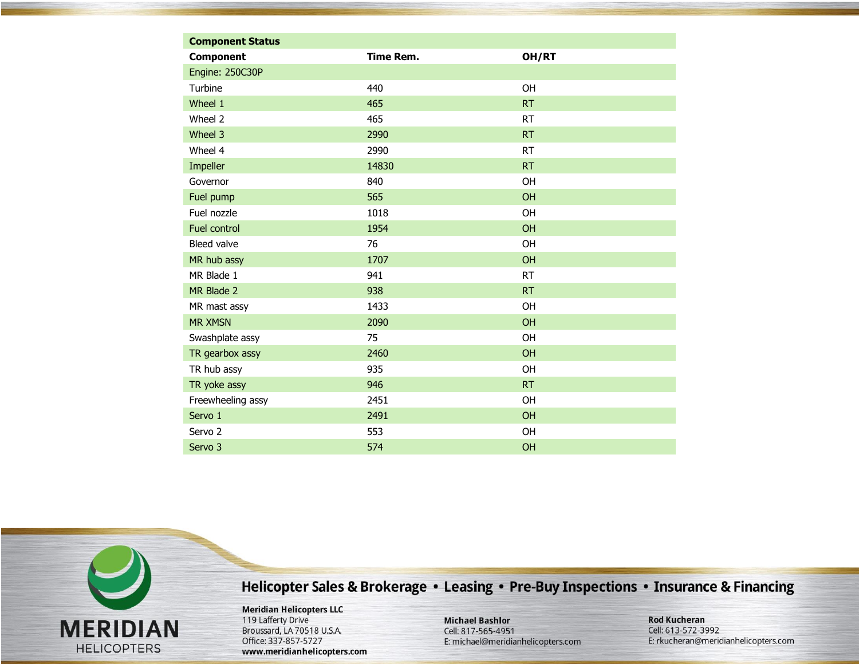| <b>Component Status</b> |                  |           |
|-------------------------|------------------|-----------|
| <b>Component</b>        | <b>Time Rem.</b> | OH/RT     |
| Engine: 250C30P         |                  |           |
| Turbine                 | 440              | OH        |
| Wheel 1                 | 465              | <b>RT</b> |
| Wheel 2                 | 465              | <b>RT</b> |
| Wheel 3                 | 2990             | <b>RT</b> |
| Wheel 4                 | 2990             | <b>RT</b> |
| Impeller                | 14830            | <b>RT</b> |
| Governor                | 840              | OH        |
| Fuel pump               | 565              | <b>OH</b> |
| Fuel nozzle             | 1018             | <b>OH</b> |
| Fuel control            | 1954             | OH        |
| Bleed valve             | 76               | OH        |
| MR hub assy             | 1707             | <b>OH</b> |
| MR Blade 1              | 941              | <b>RT</b> |
| MR Blade 2              | 938              | <b>RT</b> |
| MR mast assy            | 1433             | OH        |
| <b>MR XMSN</b>          | 2090             | OH        |
| Swashplate assy         | 75               | OH        |
| TR gearbox assy         | 2460             | OH        |
| TR hub assy             | 935              | OH        |
| TR yoke assy            | 946              | <b>RT</b> |
| Freewheeling assy       | 2451             | OH        |
| Servo 1                 | 2491             | OH        |
| Servo <sub>2</sub>      | 553              | OH        |
| Servo <sub>3</sub>      | 574              | OH        |

**Meridian Helicopters LLC** 119 Lafferty Drive Broussard, LA 70518 U.S.A. Office: 337-857-5727 www.meridianhelicopters.com

**MERIDIAN** 

**HELICOPTERS** 

**Michael Bashlor** Cell: 817-565-4951 E: michael@meridianhelicopters.com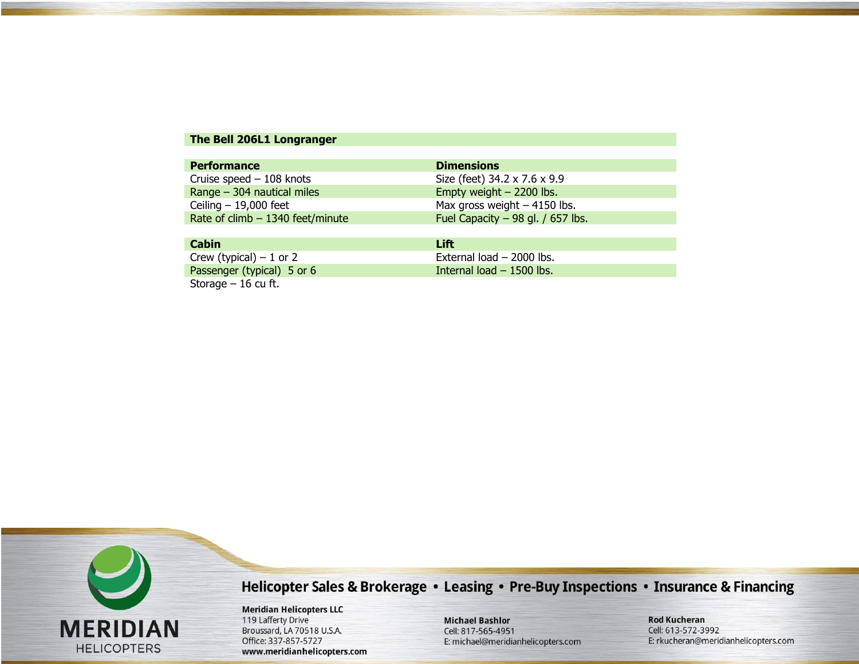#### The Bell 206L1 Longranger

| <b>Performance</b>                 | <b>Dimensions</b>                  |
|------------------------------------|------------------------------------|
| Cruise speed $-108$ knots          | Size (feet) 34.2 x 7.6 x 9.9       |
| Range $-$ 304 nautical miles       | Empty weight - 2200 lbs.           |
| Ceiling $-19,000$ feet             | Max gross weight $-4150$ lbs.      |
| Rate of $climb - 1340$ feet/minute | Fuel Capacity $-98$ gl. / 657 lbs. |
|                                    |                                    |
| Cabin                              | l ift                              |

| -----                      | ---                        |
|----------------------------|----------------------------|
| Crew (typical) $-1$ or 2   | External load - 2000 lbs.  |
| Passenger (typical) 5 or 6 | Internal load $-1500$ lbs. |
| Storage $-16$ cu ft.       |                            |



## Helicopter Sales & Brokerage • Leasing • Pre-Buy Inspections • Insurance & Financing

**Meridian Helicopters LLC** 119 Lafferty Drive Broussard, LA 70518 U.S.A. Office: 337-857-5727 www.meridianhelicopters.com

**Michael Bashlor** Cell: 817-565-4951 E: michael@meridianhelicopters.com